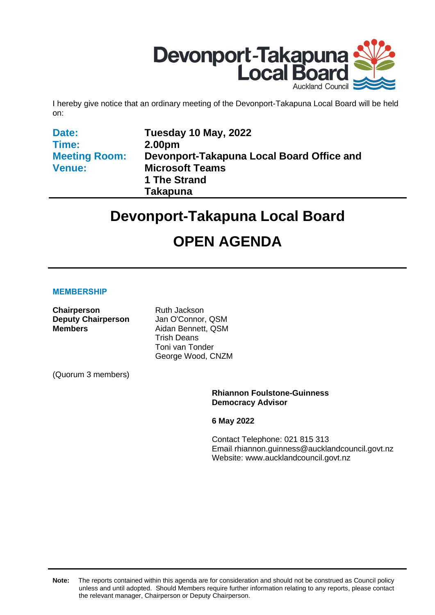

I hereby give notice that an ordinary meeting of the Devonport-Takapuna Local Board will be held on:

| Tuesday 10 May, 2022                      |
|-------------------------------------------|
| 2.00pm                                    |
| Devonport-Takapuna Local Board Office and |
| <b>Microsoft Teams</b>                    |
| 1 The Strand                              |
| <b>Takapuna</b>                           |
|                                           |

# **Devonport-Takapuna Local Board**

# **OPEN AGENDA**

#### **MEMBERSHIP**

| <b>Chairperson</b><br><b>Deputy Chairperson</b><br><b>Members</b> | <b>Ruth Jackson</b><br>Jan O'Connor, QSM<br>Aidan Bennett, QSM<br><b>Trish Deans</b><br>Toni van Tonder<br>George Wood, CNZM |
|-------------------------------------------------------------------|------------------------------------------------------------------------------------------------------------------------------|
| (Quorum 3 members)                                                |                                                                                                                              |
|                                                                   | <b>Rhiannon Foulstone-Guinness</b><br><b>Democracy Advisor</b>                                                               |

**6 May 2022**

Contact Telephone: 021 815 313 Email: rhiannon.guinness@aucklandcouncil.govt.nz Website: www.aucklandcouncil.govt.nz

**Note:** The reports contained within this agenda are for consideration and should not be construed as Council policy unless and until adopted. Should Members require further information relating to any reports, please contact the relevant manager, Chairperson or Deputy Chairperson.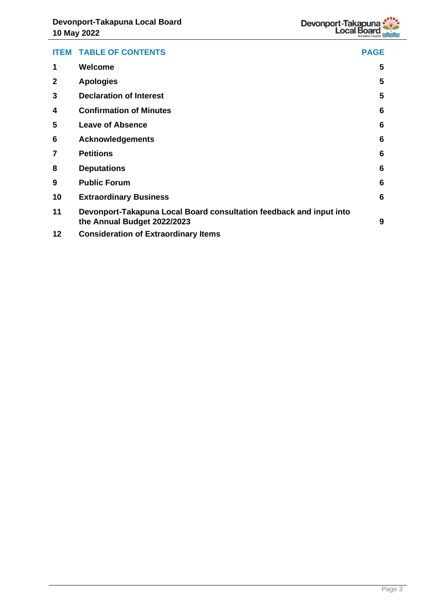|              | <b>ITEM TABLE OF CONTENTS</b>                                                                      | <b>PAGE</b> |
|--------------|----------------------------------------------------------------------------------------------------|-------------|
| 1            | Welcome                                                                                            | 5           |
| $\mathbf{2}$ | <b>Apologies</b>                                                                                   | 5           |
| 3            | <b>Declaration of Interest</b>                                                                     | 5           |
| 4            | <b>Confirmation of Minutes</b>                                                                     | 6           |
| 5            | <b>Leave of Absence</b>                                                                            | 6           |
| 6            | <b>Acknowledgements</b>                                                                            | 6           |
| 7            | <b>Petitions</b>                                                                                   | 6           |
| 8            | <b>Deputations</b>                                                                                 | 6           |
| 9            | <b>Public Forum</b>                                                                                | 6           |
| 10           | <b>Extraordinary Business</b>                                                                      | 6           |
| 11           | Devonport-Takapuna Local Board consultation feedback and input into<br>the Annual Budget 2022/2023 | 9           |
| 12           | <b>Consideration of Extraordinary Items</b>                                                        |             |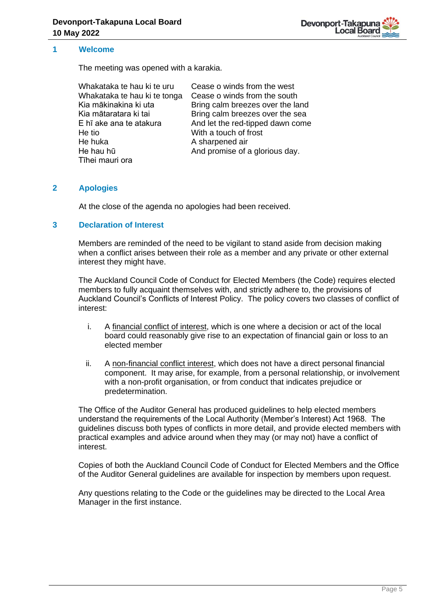

#### <span id="page-4-0"></span>**1 Welcome**

The meeting was opened with a karakia.

| Whakataka te hau ki te uru   | Cease o winds from the west      |
|------------------------------|----------------------------------|
| Whakataka te hau ki te tonga | Cease o winds from the south     |
| Kia mākinakina ki uta        | Bring calm breezes over the land |
| Kia mātaratara ki tai        | Bring calm breezes over the sea  |
| E hī ake ana te atakura      | And let the red-tipped dawn come |
| He tio                       | With a touch of frost            |
| He huka                      | A sharpened air                  |
| He hau hū                    | And promise of a glorious day.   |
| Tīhei mauri ora              |                                  |

#### <span id="page-4-1"></span>**2 Apologies**

At the close of the agenda no apologies had been received.

#### <span id="page-4-2"></span>**3 Declaration of Interest**

Members are reminded of the need to be vigilant to stand aside from decision making when a conflict arises between their role as a member and any private or other external interest they might have.

The Auckland Council Code of Conduct for Elected Members (the Code) requires elected members to fully acquaint themselves with, and strictly adhere to, the provisions of Auckland Council's Conflicts of Interest Policy. The policy covers two classes of conflict of interest:

- i. A financial conflict of interest, which is one where a decision or act of the local board could reasonably give rise to an expectation of financial gain or loss to an elected member
- ii. A non-financial conflict interest, which does not have a direct personal financial component. It may arise, for example, from a personal relationship, or involvement with a non-profit organisation, or from conduct that indicates prejudice or predetermination.

The Office of the Auditor General has produced guidelines to help elected members understand the requirements of the Local Authority (Member's Interest) Act 1968. The guidelines discuss both types of conflicts in more detail, and provide elected members with practical examples and advice around when they may (or may not) have a conflict of interest.

Copies of both the Auckland Council Code of Conduct for Elected Members and the Office of the Auditor General guidelines are available for inspection by members upon request.

Any questions relating to the Code or the guidelines may be directed to the Local Area Manager in the first instance.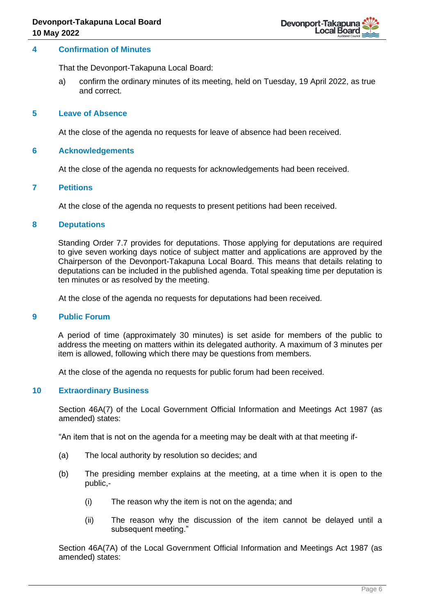#### <span id="page-5-0"></span>**4 Confirmation of Minutes**

That the Devonport-Takapuna Local Board:

a) confirm the ordinary minutes of its meeting, held on Tuesday, 19 April 2022, as true and correct.

#### <span id="page-5-1"></span>**5 Leave of Absence**

At the close of the agenda no requests for leave of absence had been received.

#### <span id="page-5-2"></span>**6 Acknowledgements**

At the close of the agenda no requests for acknowledgements had been received.

#### <span id="page-5-3"></span>**7 Petitions**

At the close of the agenda no requests to present petitions had been received.

#### <span id="page-5-4"></span>**8 Deputations**

Standing Order 7.7 provides for deputations. Those applying for deputations are required to give seven working days notice of subject matter and applications are approved by the Chairperson of the Devonport-Takapuna Local Board. This means that details relating to deputations can be included in the published agenda. Total speaking time per deputation is ten minutes or as resolved by the meeting.

At the close of the agenda no requests for deputations had been received.

#### <span id="page-5-5"></span>**9 Public Forum**

A period of time (approximately 30 minutes) is set aside for members of the public to address the meeting on matters within its delegated authority. A maximum of 3 minutes per item is allowed, following which there may be questions from members.

At the close of the agenda no requests for public forum had been received.

#### <span id="page-5-6"></span>**10 Extraordinary Business**

Section 46A(7) of the Local Government Official Information and Meetings Act 1987 (as amended) states:

"An item that is not on the agenda for a meeting may be dealt with at that meeting if-

- (a) The local authority by resolution so decides; and
- (b) The presiding member explains at the meeting, at a time when it is open to the public,-
	- (i) The reason why the item is not on the agenda; and
	- (ii) The reason why the discussion of the item cannot be delayed until a subsequent meeting."

Section 46A(7A) of the Local Government Official Information and Meetings Act 1987 (as amended) states: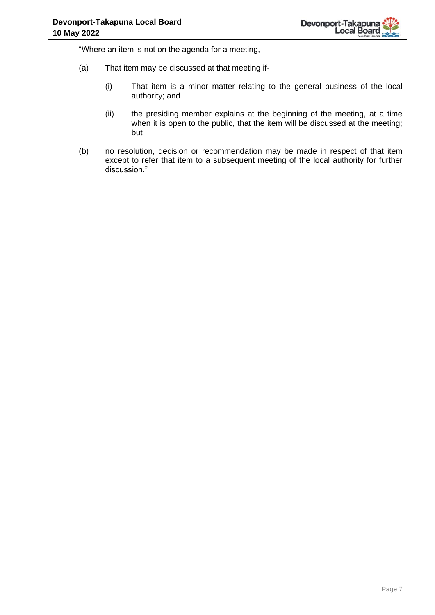"Where an item is not on the agenda for a meeting,-

- (a) That item may be discussed at that meeting if-
	- (i) That item is a minor matter relating to the general business of the local authority; and
	- (ii) the presiding member explains at the beginning of the meeting, at a time when it is open to the public, that the item will be discussed at the meeting; but
- (b) no resolution, decision or recommendation may be made in respect of that item except to refer that item to a subsequent meeting of the local authority for further discussion."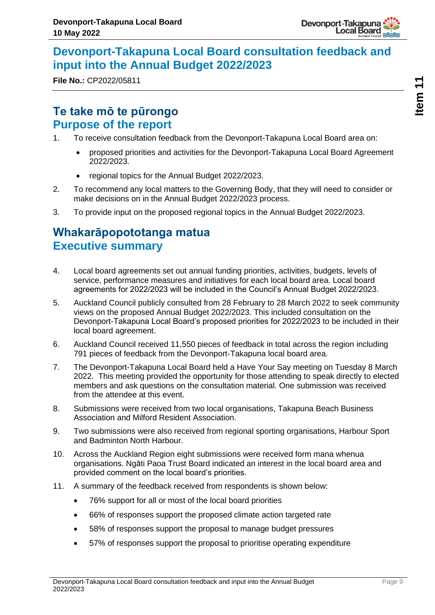

# <span id="page-8-0"></span>**Devonport-Takapuna Local Board consultation feedback and input into the Annual Budget 2022/2023**

**File No.:** CP2022/05811

# **Te take mō te pūrongo Purpose of the report**

- 1. To receive consultation feedback from the Devonport-Takapuna Local Board area on:
	- proposed priorities and activities for the Devonport-Takapuna Local Board Agreement 2022/2023.
	- regional topics for the Annual Budget 2022/2023.
- 2. To recommend any local matters to the Governing Body, that they will need to consider or make decisions on in the Annual Budget 2022/2023 process.
- 3. To provide input on the proposed regional topics in the Annual Budget 2022/2023.

# **Whakarāpopototanga matua Executive summary**

- 4. Local board agreements set out annual funding priorities, activities, budgets, levels of service, performance measures and initiatives for each local board area. Local board agreements for 2022/2023 will be included in the Council's Annual Budget 2022/2023.
- 5. Auckland Council publicly consulted from 28 February to 28 March 2022 to seek community views on the proposed Annual Budget 2022/2023. This included consultation on the Devonport-Takapuna Local Board's proposed priorities for 2022/2023 to be included in their local board agreement.
- 6. Auckland Council received 11,550 pieces of feedback in total across the region including 791 pieces of feedback from the Devonport-Takapuna local board area.
- 7. The Devonport-Takapuna Local Board held a Have Your Say meeting on Tuesday 8 March 2022. This meeting provided the opportunity for those attending to speak directly to elected members and ask questions on the consultation material. One submission was received from the attendee at this event.
- 8. Submissions were received from two local organisations, Takapuna Beach Business Association and Milford Resident Association.
- 9. Two submissions were also received from regional sporting organisations, Harbour Sport and Badminton North Harbour.
- 10. Across the Auckland Region eight submissions were received form mana whenua organisations. Ngāti Paoa Trust Board indicated an interest in the local board area and provided comment on the local board's priorities.
- 11. A summary of the feedback received from respondents is shown below:
	- 76% support for all or most of the local board priorities
	- 66% of responses support the proposed climate action targeted rate
	- 58% of responses support the proposal to manage budget pressures
	- 57% of responses support the proposal to prioritise operating expenditure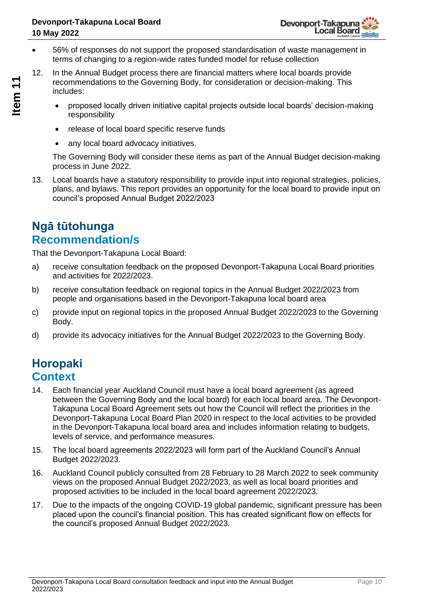- 56% of responses do not support the proposed standardisation of waste management in terms of changing to a region-wide rates funded model for refuse collection
- 12. In the Annual Budget process there are financial matters where local boards provide recommendations to the Governing Body, for consideration or decision-making. This includes:
	- proposed locally driven initiative capital projects outside local boards' decision-making responsibility
	- release of local board specific reserve funds
	- any local board advocacy initiatives.

The Governing Body will consider these items as part of the Annual Budget decision-making process in June 2022.

13. Local boards have a statutory responsibility to provide input into regional strategies, policies, plans, and bylaws. This report provides an opportunity for the local board to provide input on council's proposed Annual Budget 2022/2023

# **Ngā tūtohunga Recommendation/s**

That the Devonport-Takapuna Local Board:

- a) receive consultation feedback on the proposed Devonport-Takapuna Local Board priorities and activities for 2022/2023.
- b) receive consultation feedback on regional topics in the Annual Budget 2022/2023 from people and organisations based in the Devonport-Takapuna local board area
- c) provide input on regional topics in the proposed Annual Budget 2022/2023 to the Governing Body.
- d) provide its advocacy initiatives for the Annual Budget 2022/2023 to the Governing Body.

# **Horopaki Context**

- 14. Each financial year Auckland Council must have a local board agreement (as agreed between the Governing Body and the local board) for each local board area. The Devonport-Takapuna Local Board Agreement sets out how the Council will reflect the priorities in the Devonport-Takapuna Local Board Plan 2020 in respect to the local activities to be provided in the Devonport-Takapuna local board area and includes information relating to budgets, levels of service, and performance measures.
- 15. The local board agreements 2022/2023 will form part of the Auckland Council's Annual Budget 2022/2023.
- 16. Auckland Council publicly consulted from 28 February to 28 March 2022 to seek community views on the proposed Annual Budget 2022/2023, as well as local board priorities and proposed activities to be included in the local board agreement 2022/2023.
- 17. Due to the impacts of the ongoing COVID-19 global pandemic, significant pressure has been placed upon the council's financial position. This has created significant flow on effects for the council's proposed Annual Budget 2022/2023.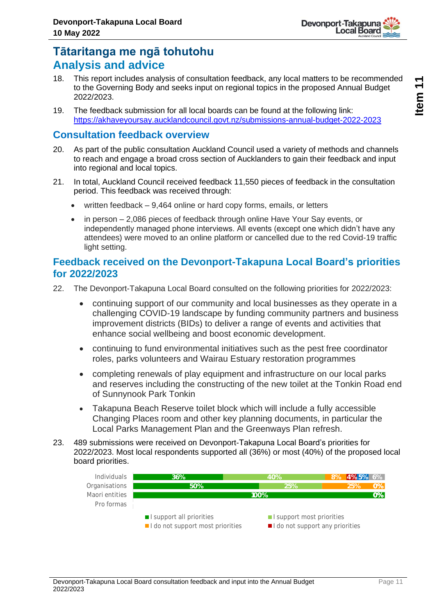

# **Tātaritanga me ngā tohutohu Analysis and advice**

- 18. This report includes analysis of consultation feedback, any local matters to be recommended to the Governing Body and seeks input on regional topics in the proposed Annual Budget 2022/2023.
- 19. The feedback submission for all local boards can be found at the following link: <https://akhaveyoursay.aucklandcouncil.govt.nz/submissions-annual-budget-2022-2023>

### **Consultation feedback overview**

- 20. As part of the public consultation Auckland Council used a variety of methods and channels to reach and engage a broad cross section of Aucklanders to gain their feedback and input into regional and local topics.
- 21. In total, Auckland Council received feedback 11,550 pieces of feedback in the consultation period. This feedback was received through:
	- written feedback 9,464 online or hard copy forms, emails, or letters
	- in person 2,086 pieces of feedback through online Have Your Say events, or independently managed phone interviews. All events (except one which didn't have any attendees) were moved to an online platform or cancelled due to the red Covid-19 traffic light setting.

### **Feedback received on the Devonport-Takapuna Local Board's priorities for 2022/2023**

- 22. The Devonport-Takapuna Local Board consulted on the following priorities for 2022/2023:
	- continuing support of our community and local businesses as they operate in a challenging COVID-19 landscape by funding community partners and business improvement districts (BIDs) to deliver a range of events and activities that enhance social wellbeing and boost economic development.
	- continuing to fund environmental initiatives such as the pest free coordinator roles, parks volunteers and Wairau Estuary restoration programmes
	- completing renewals of play equipment and infrastructure on our local parks and reserves including the constructing of the new toilet at the Tonkin Road end of Sunnynook Park Tonkin
	- Takapuna Beach Reserve toilet block which will include a fully accessible Changing Places room and other key planning documents, in particular the Local Parks Management Plan and the Greenways Plan refresh.
- 23. 489 submissions were received on Devonport-Takapuna Local Board's priorities for 2022/2023. Most local respondents supported all (36%) or most (40%) of the proposed local board priorities.

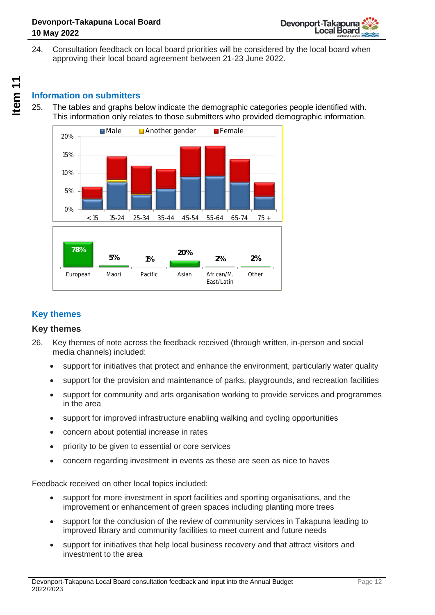

24. Consultation feedback on local board priorities will be considered by the local board when approving their local board agreement between 21-23 June 2022.

# **Information on submitters**

25. The tables and graphs below indicate the demographic categories people identified with. This information only relates to those submitters who provided demographic information.



### **Key themes**

#### **Key themes**

- 26. Key themes of note across the feedback received (through written, in-person and social media channels) included:
	- support for initiatives that protect and enhance the environment, particularly water quality
	- support for the provision and maintenance of parks, playgrounds, and recreation facilities
	- support for community and arts organisation working to provide services and programmes in the area
	- support for improved infrastructure enabling walking and cycling opportunities
	- concern about potential increase in rates
	- priority to be given to essential or core services
	- concern regarding investment in events as these are seen as nice to haves

Feedback received on other local topics included:

- support for more investment in sport facilities and sporting organisations, and the improvement or enhancement of green spaces including planting more trees
- support for the conclusion of the review of community services in Takapuna leading to improved library and community facilities to meet current and future needs
- support for initiatives that help local business recovery and that attract visitors and investment to the area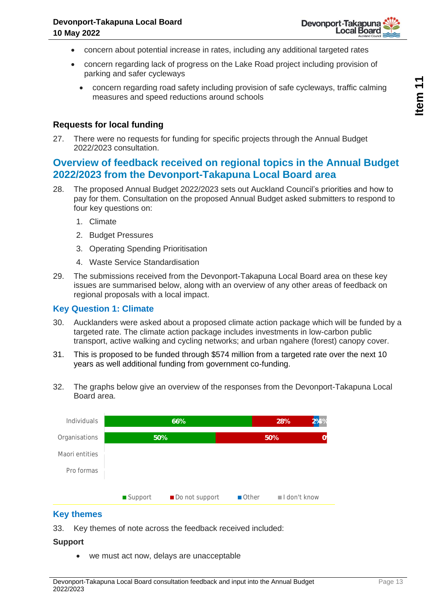

- concern about potential increase in rates, including any additional targeted rates
- concern regarding lack of progress on the Lake Road project including provision of parking and safer cycleways
	- concern regarding road safety including provision of safe cycleways, traffic calming measures and speed reductions around schools

#### **Requests for local funding**

27. There were no requests for funding for specific projects through the Annual Budget 2022/2023 consultation.

### **Overview of feedback received on regional topics in the Annual Budget 2022/2023 from the Devonport-Takapuna Local Board area**

- 28. The proposed Annual Budget 2022/2023 sets out Auckland Council's priorities and how to pay for them. Consultation on the proposed Annual Budget asked submitters to respond to four key questions on:
	- 1. Climate
	- 2. Budget Pressures
	- 3. Operating Spending Prioritisation
	- 4. Waste Service Standardisation
- 29. The submissions received from the Devonport-Takapuna Local Board area on these key issues are summarised below, along with an overview of any other areas of feedback on regional proposals with a local impact.

#### **Key Question 1: Climate**

- 30. Aucklanders were asked about a proposed climate action package which will be funded by a targeted rate. The climate action package includes investments in low-carbon public transport, active walking and cycling networks; and urban ngahere (forest) canopy cover.
- 31. This is proposed to be funded through \$574 million from a targeted rate over the next 10 years as well additional funding from government co-funding.
- 32. The graphs below give an overview of the responses from the Devonport-Takapuna Local Board area.



#### **Key themes**

33. Key themes of note across the feedback received included:

#### **Support**

• we must act now, delays are unacceptable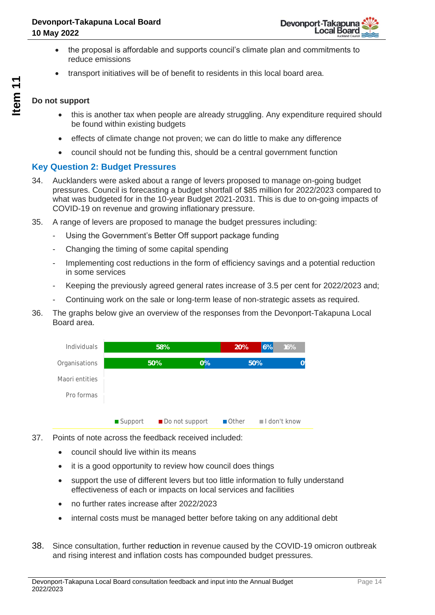- the proposal is affordable and supports council's climate plan and commitments to reduce emissions
- transport initiatives will be of benefit to residents in this local board area.

#### **Do not support**

- this is another tax when people are already struggling. Any expenditure required should be found within existing budgets
- effects of climate change not proven; we can do little to make any difference
- council should not be funding this, should be a central government function

### **Key Question 2: Budget Pressures**

- 34. Aucklanders were asked about a range of levers proposed to manage on-going budget pressures. Council is forecasting a budget shortfall of \$85 million for 2022/2023 compared to what was budgeted for in the 10-year Budget 2021-2031. This is due to on-going impacts of COVID-19 on revenue and growing inflationary pressure.
- 35. A range of levers are proposed to manage the budget pressures including:
	- Using the Government's Better Off support package funding
	- Changing the timing of some capital spending
	- Implementing cost reductions in the form of efficiency savings and a potential reduction in some services
	- Keeping the previously agreed general rates increase of 3.5 per cent for 2022/2023 and;
	- Continuing work on the sale or long-term lease of non-strategic assets as required.
- 36. The graphs below give an overview of the responses from the Devonport-Takapuna Local Board area.

| Individuals    |           | 58%            |       | 20%           | 6%<br>16%                   |  |
|----------------|-----------|----------------|-------|---------------|-----------------------------|--|
| Organisations  |           | 50%            | $0\%$ | 50%           |                             |  |
| Maori entities |           |                |       |               |                             |  |
| Pro formas     |           |                |       |               |                             |  |
|                |           |                |       |               |                             |  |
|                | ■ Support | Do not support |       | <b>■Other</b> | $\blacksquare$ I don't know |  |

- 37. Points of note across the feedback received included:
	- council should live within its means
	- it is a good opportunity to review how council does things
	- support the use of different levers but too little information to fully understand effectiveness of each or impacts on local services and facilities
	- no further rates increase after 2022/2023
	- internal costs must be managed better before taking on any additional debt
- 38. Since consultation, further reduction in revenue caused by the COVID-19 omicron outbreak and rising interest and inflation costs has compounded budget pressures.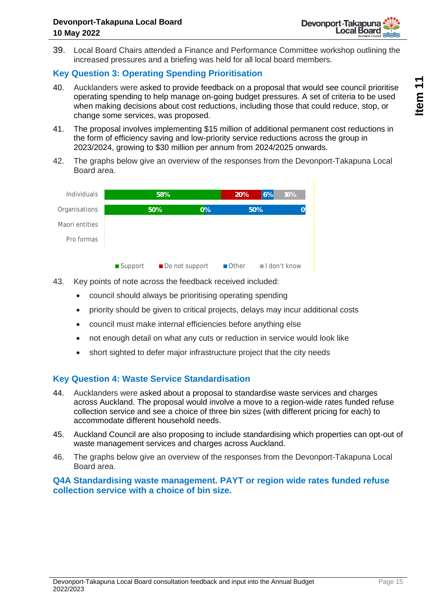

39. Local Board Chairs attended a Finance and Performance Committee workshop outlining the increased pressures and a briefing was held for all local board members.

### **Key Question 3: Operating Spending Prioritisation**

- 40. Aucklanders were asked to provide feedback on a proposal that would see council prioritise operating spending to help manage on-going budget pressures. A set of criteria to be used when making decisions about cost reductions, including those that could reduce, stop, or change some services, was proposed.
- 41. The proposal involves implementing \$15 million of additional permanent cost reductions in the form of efficiency saving and low-priority service reductions across the group in 2023/2024, growing to \$30 million per annum from 2024/2025 onwards.
- 42. The graphs below give an overview of the responses from the Devonport-Takapuna Local Board area.

| <b>Individuals</b> | 58%       |                | 20%   | 6%                   | 16% |                             |
|--------------------|-----------|----------------|-------|----------------------|-----|-----------------------------|
| Organisations      |           | 50%            | $0\%$ | 50%                  |     |                             |
| Maori entities     |           |                |       |                      |     |                             |
| Pro formas         |           |                |       |                      |     |                             |
|                    |           |                |       |                      |     |                             |
|                    | ■ Support | Do not support |       | $\blacksquare$ Other |     | $\blacksquare$ I don't know |

- 43. Key points of note across the feedback received included:
	- council should always be prioritising operating spending
	- priority should be given to critical projects, delays may incur additional costs
	- council must make internal efficiencies before anything else
	- not enough detail on what any cuts or reduction in service would look like
	- short sighted to defer major infrastructure project that the city needs

#### **Key Question 4: Waste Service Standardisation**

- 44. Aucklanders were asked about a proposal to standardise waste services and charges across Auckland. The proposal would involve a move to a region-wide rates funded refuse collection service and see a choice of three bin sizes (with different pricing for each) to accommodate different household needs.
- 45. Auckland Council are also proposing to include standardising which properties can opt-out of waste management services and charges across Auckland.
- 46. The graphs below give an overview of the responses from the Devonport-Takapuna Local Board area.

#### **Q4A Standardising waste management. PAYT or region wide rates funded refuse collection service with a choice of bin size.**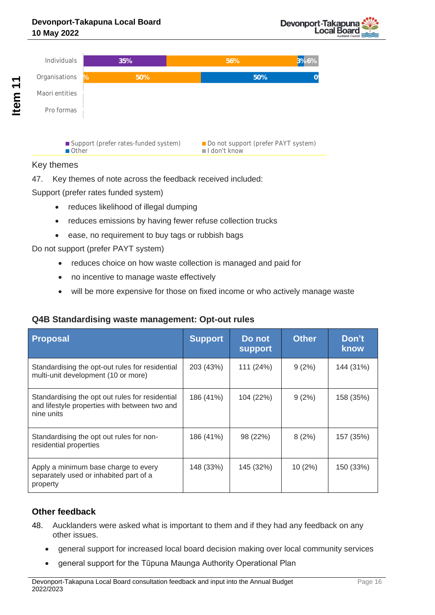

#### Key themes

47. Key themes of note across the feedback received included:

Support (prefer rates funded system)

- reduces likelihood of illegal dumping
- reduces emissions by having fewer refuse collection trucks
- ease, no requirement to buy tags or rubbish bags

Do not support (prefer PAYT system)

- reduces choice on how waste collection is managed and paid for
- no incentive to manage waste effectively
- will be more expensive for those on fixed income or who actively manage waste

### **Q4B Standardising waste management: Opt-out rules**

| <b>Proposal</b>                                                                                                | <b>Support</b> | Do not<br><b>support</b> | <b>Other</b> | Don't<br>know |
|----------------------------------------------------------------------------------------------------------------|----------------|--------------------------|--------------|---------------|
| Standardising the opt-out rules for residential<br>multi-unit development (10 or more)                         | 203 (43%)      | 111 (24%)                | 9(2%)        | 144 (31%)     |
| Standardising the opt out rules for residential<br>and lifestyle properties with between two and<br>nine units | 186 (41%)      | 104 (22%)                | 9(2%)        | 158 (35%)     |
| Standardising the opt out rules for non-<br>residential properties                                             | 186 (41%)      | 98 (22%)                 | 8(2%)        | 157 (35%)     |
| Apply a minimum base charge to every<br>separately used or inhabited part of a<br>property                     | 148 (33%)      | 145 (32%)                | 10(2%)       | 150 (33%)     |

### **Other feedback**

- 48. Aucklanders were asked what is important to them and if they had any feedback on any other issues.
	- general support for increased local board decision making over local community services
	- general support for the Tūpuna Maunga Authority Operational Plan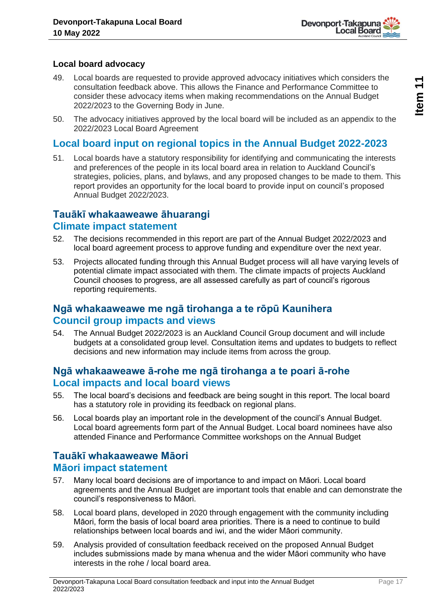

### **Local board advocacy**

- 49. Local boards are requested to provide approved advocacy initiatives which considers the consultation feedback above. This allows the Finance and Performance Committee to consider these advocacy items when making recommendations on the Annual Budget 2022/2023 to the Governing Body in June.
- 50. The advocacy initiatives approved by the local board will be included as an appendix to the 2022/2023 Local Board Agreement

# **Local board input on regional topics in the Annual Budget 2022-2023**

51. Local boards have a statutory responsibility for identifying and communicating the interests and preferences of the people in its local board area in relation to Auckland Council's strategies, policies, plans, and bylaws, and any proposed changes to be made to them. This report provides an opportunity for the local board to provide input on council's proposed Annual Budget 2022/2023.

# **Tauākī whakaaweawe āhuarangi**

### **Climate impact statement**

- 52. The decisions recommended in this report are part of the Annual Budget 2022/2023 and local board agreement process to approve funding and expenditure over the next year.
- 53. Projects allocated funding through this Annual Budget process will all have varying levels of potential climate impact associated with them. The climate impacts of projects Auckland Council chooses to progress, are all assessed carefully as part of council's rigorous reporting requirements.

# **Ngā whakaaweawe me ngā tirohanga a te rōpū Kaunihera Council group impacts and views**

54. The Annual Budget 2022/2023 is an Auckland Council Group document and will include budgets at a consolidated group level. Consultation items and updates to budgets to reflect decisions and new information may include items from across the group.

### **Ngā whakaaweawe ā-rohe me ngā tirohanga a te poari ā-rohe Local impacts and local board views**

- 55. The local board's decisions and feedback are being sought in this report. The local board has a statutory role in providing its feedback on regional plans.
- 56. Local boards play an important role in the development of the council's Annual Budget. Local board agreements form part of the Annual Budget. Local board nominees have also attended Finance and Performance Committee workshops on the Annual Budget

# **Tauākī whakaaweawe Māori Māori impact statement**

- 57. Many local board decisions are of importance to and impact on Māori. Local board agreements and the Annual Budget are important tools that enable and can demonstrate the council's responsiveness to Māori.
- 58. Local board plans, developed in 2020 through engagement with the community including Māori, form the basis of local board area priorities. There is a need to continue to build relationships between local boards and iwi, and the wider Māori community.
- 59. Analysis provided of consultation feedback received on the proposed Annual Budget includes submissions made by mana whenua and the wider Māori community who have interests in the rohe / local board area.